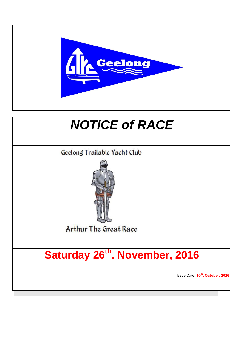

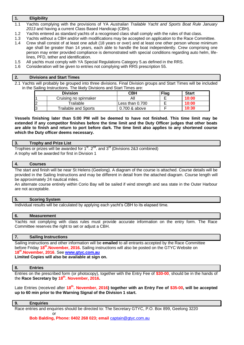# **1. Eligibility**

1.1 Yachts complying with the provisions of YA *Australian Trailable Yacht and Sports Boat Rule January 2013* and having a current Class Based Handicap (CBH).

- 1.2 Yachts entered as standard yachts of a recognised class shall comply with the rules of that class.
- 1.3 Yachts without a CBH and/or with modifications may be accepted on application to the Race Committee.
- 1.4 Crew shall consist of at least one adult (18 years or over) and at least one other person whose minimum age shall be greater than 14 years, each able to handle the boat independently. Crew comprising one person may enter provided compliance is demonstrated with special conditions regarding auto helm, lifelines, PFD, tether and identification.
- 1.5 All yachts must comply with YA Special Regulations Category 5.as defined in the RRS.
- 1.6 Consideration will be given to entries not complying with RRS prescription 55.

# **2. Divisions and Start Times**

2.1 Yachts will probably be grouped into three divisions. Final Division groups and Start Times will be included in the Sailing Instructions. The likely Divisions and Start Times are:

| <b>Division</b> |                             | СВН             | Flag | <b>Start</b> |
|-----------------|-----------------------------|-----------------|------|--------------|
|                 | Cruising no spinnaker       | All             |      | 10:00        |
| ∠               | $\tau$ railable             | Less than 0.700 |      | 10:00        |
| 3               | <b>Trailable and Sports</b> | 0.700 & above   |      | 10:30        |

**Vessels finishing later than 5:00 PM will be deemed to have not finished. This time limit may be extended if any competitor finishes before the time limit and the Duty Officer judges that other boats are able to finish and return to port before dark. The time limit also applies to any shortened course which the Duty officer deems necessary.**

## **3. Trophy and Prize List**

Trophies or prizes will be awarded for  $1<sup>st</sup>$ .  $2<sup>nd</sup>$ . and  $3<sup>rd</sup>$  (Divisions 2&3 combined) A trophy will be awarded for first in Division 1

#### **4. Courses**

The start and finish will be near St Helens (Geelong). A diagram of the course is attached. Course details will be provided in the Sailing Instructions and may be different in detail from the attached diagram. Course length will be approximately 24 nautical miles.

An alternate course entirely within Corio Bay will be sailed if wind strength and sea state in the Outer Harbour are not acceptable.

## **5. Scoring System**

Individual results will be calculated by applying each yacht's CBH to its elapsed time.

## **6. Measurement**

Yachts not complying with class rules must provide accurate information on the entry form. The Race Committee reserves the right to set or adjust a CBH.

## **7. Sailing Instructions**

Sailing instructions and other information will be **emailed** to all entrants accepted by the Race Committee before Friday 18<sup>th</sup>.November, 2016. Sailing instructions will also be posted on the GTYC Website on **18 th .November, 2016**. See **[www.gtyc.com.au](http://www.gtyc.com.au/) Limited Copies will also be available at sign on.**

#### **8. Entries**

Entries on the prescribed form (or photocopy), together with the Entry Fee of **\$30-00**, should be in the hands of the **Race Secretary by 18 th . November, 2016.**

Late Entries (received after 18<sup>th</sup>. November, 2016) together with an Entry Fee of \$35-00, will be accepted **up to 60 min prior to the Warning Signal of the Division 1 start.**

#### **9. Enquiries**

Race entries and enquiries should be directed to: The Secretary GTYC, P.O. Box 899, Geelong 3220 **or** the contract of the contract of the contract of the contract of the contract of the contract of the contract of the contract of the contract of the contract of the contract of the contract of the contract of the contr

**Bob Balding, Phone: 0402 268 023; email** [captain@gtyc.com.au](mailto:captain@gtyc.com.au)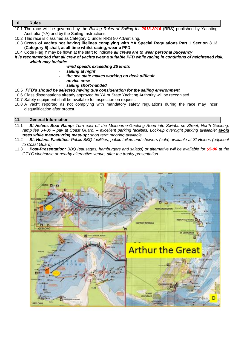# **10. Rules**

- 10.1 The race will be governed by the *Racing Rules of Sailing for 2013-2016* (RRS) published by Yachting Australia (YA) and by the Sailing Instructions.
- 10.2 This race is classified as Category C under RRS 80 Advertising.
- 10.3 **Crews of yachts not having lifelines complying with YA Special Regulations Part 1 Section 3.12 (Category 5) shall, at all time whilst racing, wear a PFD.**
- 10.4 Code Flag **Y** may be flown at the start to indicate *all crews are to wear personal buoyancy*.
- *It is recommended that all crew of yachts wear a suitable PFD while racing in conditions of heightened risk, which may include:*
	- *wind speeds exceeding 25 knots*
	- *sailing at night*
	- *the sea state makes working on deck difficult*
	- *novice crew*
		- *sailing short-handed*

# 10.5 *PFD's should be selected having due consideration for the sailing environment.*

- 10.6 Class dispensations already approved by YA or State Yachting Authority will be recognised.
- 10.7 Safety equipment shall be available for inspection on request.
- 10.8 A yacht reported as not complying with mandatory safety regulations during the race may incur disqualification after protest.

# **11. General Information**

- 11.1 *St Helens Boat Ramp: Turn east off the Melbourne-Geelong Road into Swinburne Street, North Geelong;*  ramp fee \$4-00 – pay at Coast Guard; – excellent parking facilities; Lock-up overnight parking available; **avoid** *trees while manoeuvring mast-up; short term mooring available.*
- 11.2 *St. Helens Facilities: Public BBQ facilities, public toilets and showers (cold) available at St Helens (adjacent to Coast Guard).*
- 11.3 *Post-Presentation: BBQ (sausages, hamburgers and salads) or alternative will be available for \$5-00 at the GTYC clubhouse or nearby alternative venue, after the trophy presentation.*